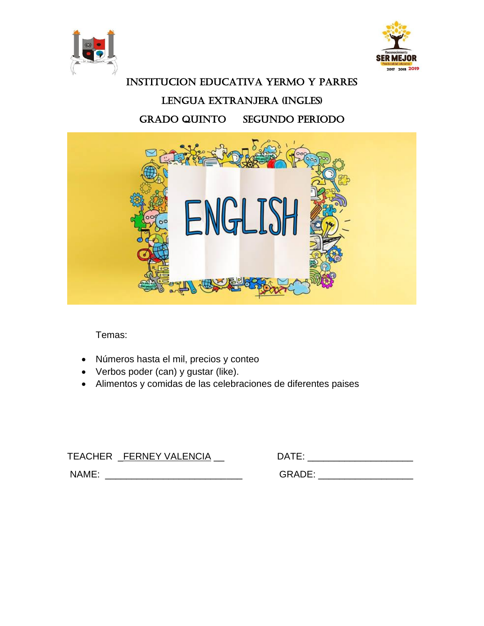



# INSTITUCION EDUCATIVA YERMO Y PARRES LENGUA EXTRANJERA (INGLES) GRADO QUINTO SEGUNDO PERIODO



Temas:

- Números hasta el mil, precios y conteo
- Verbos poder (can) y gustar (like).
- Alimentos y comidas de las celebraciones de diferentes paises

TEACHER \_FERNEY VALENCIA \_\_DATE: \_\_\_\_\_\_\_\_\_\_\_\_\_\_\_\_\_\_\_\_

NAME: \_\_\_\_\_\_\_\_\_\_\_\_\_\_\_\_\_\_\_\_\_\_\_\_\_\_ GRADE: \_\_\_\_\_\_\_\_\_\_\_\_\_\_\_\_\_\_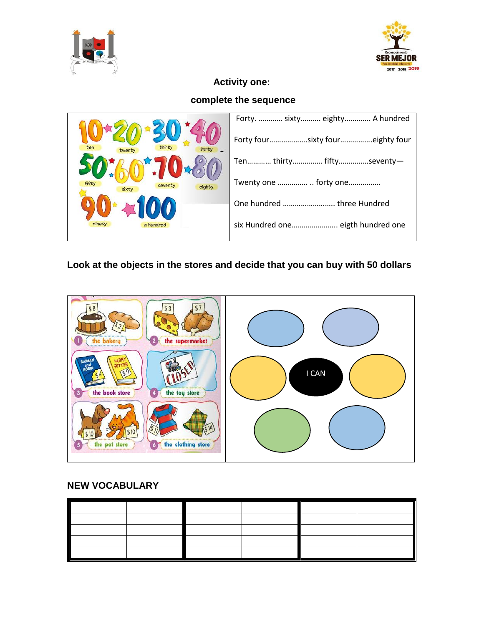



## **Activity one:**

## **complete the sequence**

|                           | Forty.  sixty eighty A hundred    |
|---------------------------|-----------------------------------|
|                           | Forty foursixty foureighty four   |
|                           | Ten thirty fiftyseventy-          |
| fifty<br>sevent<br>eighty | Twenty one   forty one            |
|                           |                                   |
| ninety<br>a hundred       | six Hundred one eigth hundred one |

## **Look at the objects in the stores and decide that you can buy with 50 dollars**

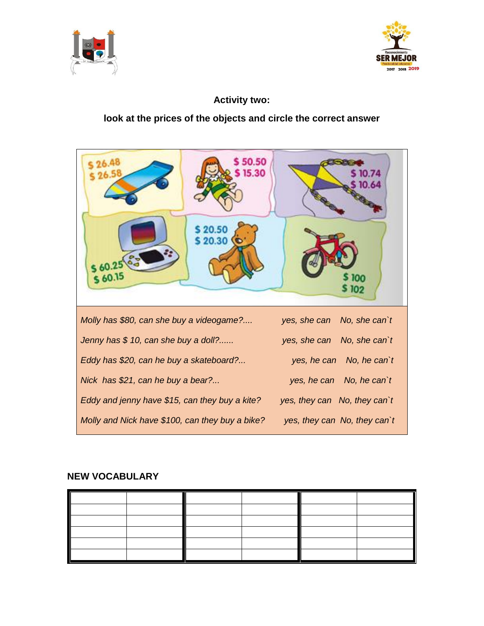



#### **Activity two:**

#### **look at the prices of the objects and circle the correct answer**

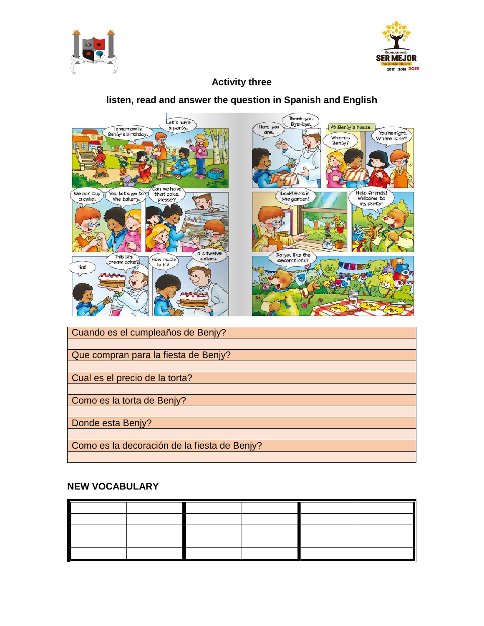



#### **Activity three**

#### **listen, read and answer the question in Spanish and English**



Que compran para la fiesta de Benjy? Cual es el precio de la torta?

Como es la torta de Benjy?

Donde esta Benjy?

Como es la decoración de la fiesta de Benjy?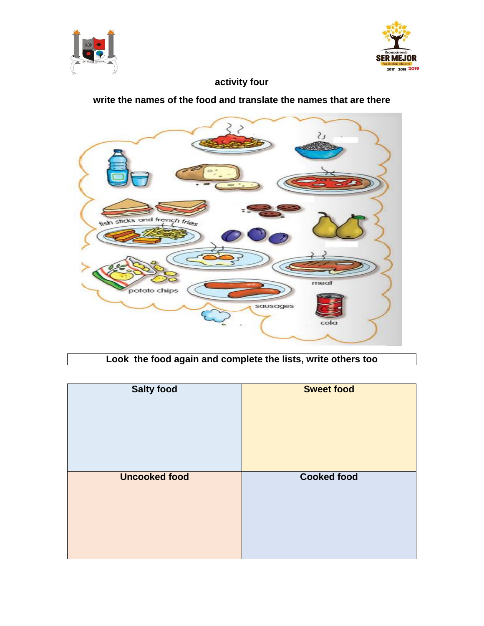



## **activity four**

#### **write the names of the food and translate the names that are there**



## **Look the food again and complete the lists, write others too**

| <b>Salty food</b>    | <b>Sweet food</b>  |
|----------------------|--------------------|
| <b>Uncooked food</b> | <b>Cooked food</b> |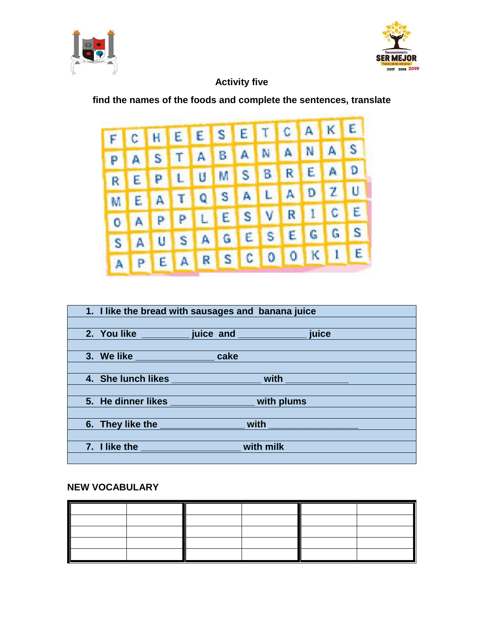



#### **Activity five**

#### **find the names of the foods and complete the sentences, translate**



| 1. I like the bread with sausages and banana juice                                                                                                                                                                                   |      |                                                              |  |
|--------------------------------------------------------------------------------------------------------------------------------------------------------------------------------------------------------------------------------------|------|--------------------------------------------------------------|--|
|                                                                                                                                                                                                                                      |      |                                                              |  |
| 2. You like ___________ juice and ___________________ juice                                                                                                                                                                          |      |                                                              |  |
|                                                                                                                                                                                                                                      |      |                                                              |  |
|                                                                                                                                                                                                                                      | cake |                                                              |  |
|                                                                                                                                                                                                                                      |      |                                                              |  |
|                                                                                                                                                                                                                                      |      | 4. She lunch likes ______________________ with _____________ |  |
|                                                                                                                                                                                                                                      |      |                                                              |  |
| 5. He dinner likes with plums                                                                                                                                                                                                        |      |                                                              |  |
|                                                                                                                                                                                                                                      |      |                                                              |  |
| 6. They like the <b>contract the contract of the state of the state of the state of the state of the state of the state of the state of the state of the state of the state of the state of the state of the state of the state </b> |      | <u>with _____________________</u>                            |  |
|                                                                                                                                                                                                                                      |      |                                                              |  |
| 7. I like the <u>same and the same of the same of the same of the same of the same of the same of the same of the same of the same of the same of the same of the same of the same of the same of the same of the same of the sa</u> |      | with milk                                                    |  |
|                                                                                                                                                                                                                                      |      |                                                              |  |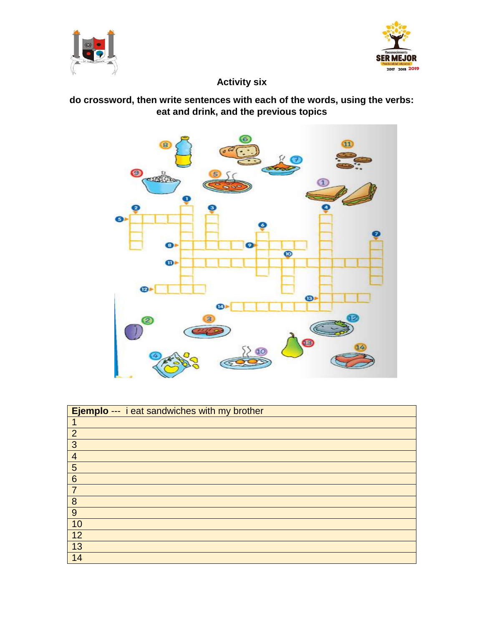



## **Activity six**

## **do crossword, then write sentences with each of the words, using the verbs: eat and drink, and the previous topics**



| Ejemplo --- i eat sandwiches with my brother |
|----------------------------------------------|
|                                              |
| $\overline{2}$                               |
| $\overline{3}$                               |
| $\overline{4}$                               |
| 5                                            |
| $6\phantom{1}6$                              |
| $\overline{7}$                               |
| 8                                            |
| 9                                            |
| 10                                           |
| 12                                           |
| $\overline{13}$                              |
| 14                                           |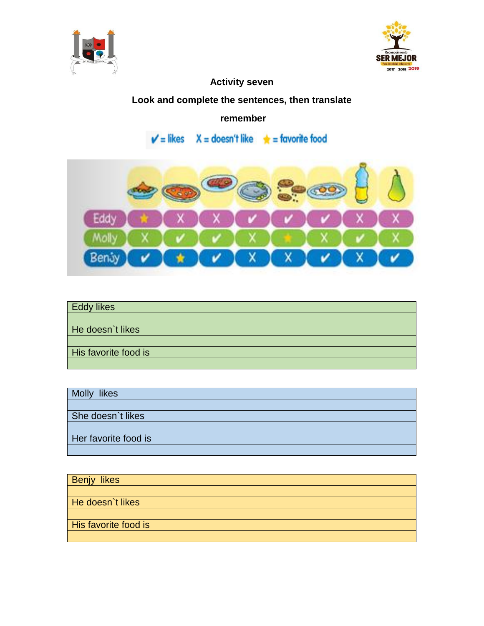



## **Activity seven**

## **Look and complete the sentences, then translate**

#### **remember**

 $X =$  doesn't like  $\qquad \bigstar =$  favorite food  $V =$  likes



| <b>Eddy likes</b>    |
|----------------------|
|                      |
| He doesn't likes     |
|                      |
| His favorite food is |
|                      |

| Molly likes          |
|----------------------|
|                      |
| She doesn't likes    |
|                      |
| Her favorite food is |
|                      |

| <b>Benjy likes</b>   |  |
|----------------------|--|
|                      |  |
| He doesn't likes     |  |
|                      |  |
| His favorite food is |  |
|                      |  |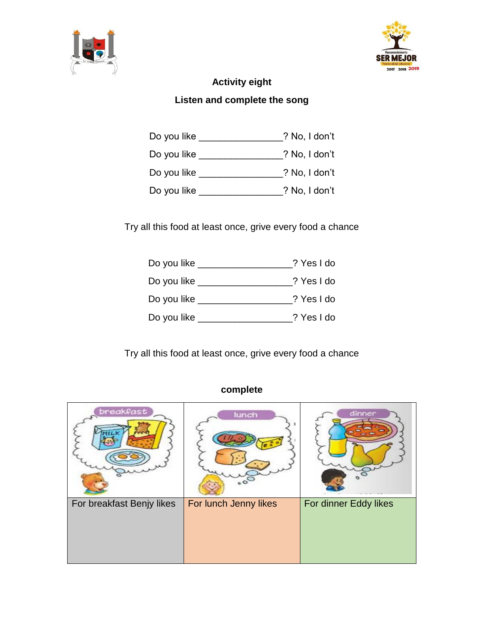



## **Activity eight Listen and complete the song**

| Do you like | ? No, I don't |
|-------------|---------------|
| Do you like | ? No, I don't |
| Do you like | ? No, I don't |
| Do you like | ? No, I don't |

Try all this food at least once, grive every food a chance

| Do you like _ | ? Yes I do |
|---------------|------------|
| Do you like _ | ? Yes I do |
| Do you like   | ? Yes I do |
| Do you like   | ? Yes I do |

Try all this food at least once, grive every food a chance

## **complete**

| <b>breakfast</b>          | lunch                 | dinner                |
|---------------------------|-----------------------|-----------------------|
| For breakfast Benjy likes | For lunch Jenny likes | For dinner Eddy likes |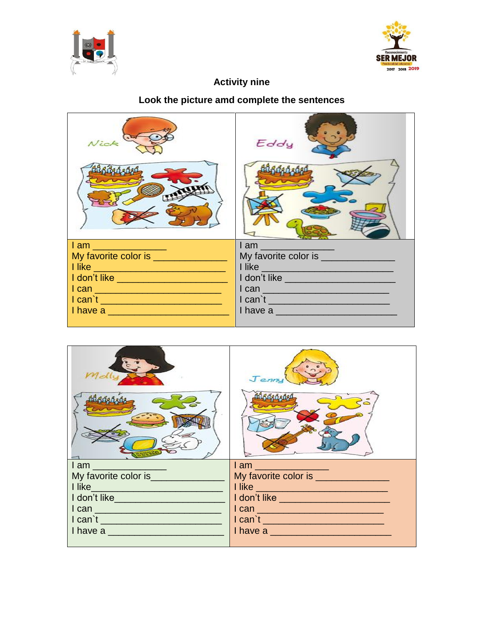



#### **Activity nine**

#### Look the picture amd complete the sentences

| Nick                                                                                                                                                                                                                                | Eddy                                                                                                           |
|-------------------------------------------------------------------------------------------------------------------------------------------------------------------------------------------------------------------------------------|----------------------------------------------------------------------------------------------------------------|
|                                                                                                                                                                                                                                     |                                                                                                                |
| <b>lam</b> and the set of the set of the set of the set of the set of the set of the set of the set of the set of the set of the set of the set of the set of the set of the set of the set of the set of the set of the set of the | l am comunitativa de la comunitativa de la comunitativa de la comunitativa de la comunitativa de la comunitati |
| My favorite color is ___________                                                                                                                                                                                                    | My favorite color is _________                                                                                 |
|                                                                                                                                                                                                                                     | <u>I like</u>                                                                                                  |
| I don't like                                                                                                                                                                                                                        | I don't like                                                                                                   |
| <u>I can _______________________________</u>                                                                                                                                                                                        |                                                                                                                |
| I can't                                                                                                                                                                                                                             | I can't                                                                                                        |
| I have a service and the service of the service of the service of the series of the series of the series of the                                                                                                                     | I have a                                                                                                       |
|                                                                                                                                                                                                                                     |                                                                                                                |